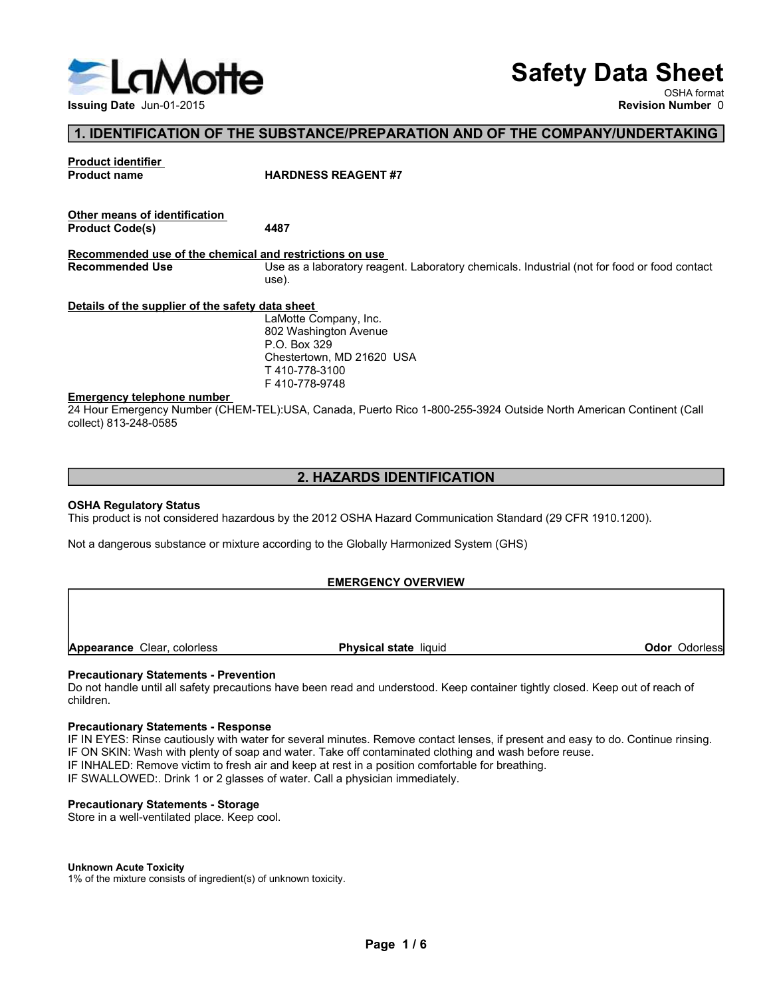

# Safety Data Sheet

OSHA format

# 1. IDENTIFICATION OF THE SUBSTANCE/PREPARATION AND OF THE COMPANY/UNDERTAKING

**ISSUE ANTE SEAGENT AND SEA SEAGENT AND REVISED AND REVISED AND CONTROLL OF THE SUBSTANCE/PREPARATION AND OF THE COMPANY/UNDERTAKING Product identifier France COMPANY/UNDERTAKING Product name on the SUBSTANCE/PREPARATION A** S<br>
S<br>
S<br>
S<br>
1. IDENTIFICATION OF THE SUBSTANCE/PREPARATION AND OF TH<br>
Product identifier<br>
Product cade(s)<br>
Product Code(s)<br>
Product Code(s)<br>
4487 Safety Data SI<br>
Issuing Date Jun-01-2015<br>
The Substance/PREPARATION AND OF THE COMPANY/UNDERT/<br>
Product identifier<br>
Product name<br>
Product Code(s)<br>
Product Code(s)<br>
Recommended use of the chemical and restrictions on use Safe<br>
Issuing Date Jun-01-2015<br>
1. IDENTIFICATION OF THE SUBSTANCE/PREPARATION AND OF THE CONTROLL ISSUES TRANSPARE THE CONTROLL ISSUES REAGENT #7<br>
Other means of identification<br>
Product Code(s)<br>
Recommended use of the che **Example and Jun-01-2015**<br>
Issuing Date Jun-01-2015<br>
Troduct identifier<br>
Product code(s)<br>
Product Code(s)<br>
Product Code(s)<br>
Product Code(s)<br>
Product Code(s)<br>
Product Code(s)<br>
Recommended Use of the chemical and restriction **EXERCISE ANTIST SERVIES SEAGERT SERVIES AND SEAK SURFACTION OF THE COMPANY/UNDERTAKING<br>
1. IDENTIFICATION OF THE SUBSTANCE/PREPARATION AND OF THE COMPANY/UNDERTAKING<br>
Product tentifier<br>
Product code(s)<br>
Product Code(s)<br>
P** Safety Data Sheet<br>
Revision Number<br>
Recording the Jun-01-2015<br>
Product clearing<br>
Product Code(s)<br>
Product Code(s)<br>
Product Code(s)<br>
Product Code(s)<br>
Product Code(s)<br>
Product Code(s)<br>
Use as a laboratory reagent. Laboratory use). Safety Data Sheeting Data sheet<br>
1. IDENTIFICATION OF THE SUBSTANCE/PREPARATION AND OF THE COMPANY/UNDERTAKI<br>
Product identifier<br>
Product code(s)<br>
Product code(s)<br>
Product Code(s)<br>
Product Code(s)<br>
Product Code(s)<br>
Becomme Emergency telephone number<br>
Emergency Yueper (CHEM-TEL; USA, Canada, Puerto Rico 1-800-255-3924 Outside North American<br>
Picture is the strengthene entropy of the strengthene entropy of the strengthene entropy of the streng Example 30 Hourseled Use<br>
24 Hourseled Mumber 0<br>
24 Hourseled Mumber 0<br>
24 Hourseled Mumber 0<br>
24 Hourseled Mumber 0<br>
24 Hourseled Use<br>
24 Hourseled Use<br>
24 Hourseled Use<br>
24 Hourseled Use<br>
24 Hourseled Use<br>
24 Hourseled U Issuing Date Jun-01-2015<br>
1. IDENTIFICATION OF THE SUBSTANCE/PREPARATION AND OF T<br>
Product identifier<br>
Product name<br>
MARDNESS REAGENT #7<br>
Other means of identification<br>
Product Code(s)<br>
Product Code(s)<br>
487<br>
Recommended us Product itality<br>
Product Code(s)<br>
Product Code(s)<br>
Recommended use of the chemical and restrictions on use<br>
Recommended use of the chemical and restrictions on use<br>
Use as a laboratory reagent. Laboratory chemicals. Indust Other means of identification.<br> **Recommended use of the chemical and restrictions on use**<br>
Recommended Use<br>
Details of the supplier of the safety dia below<br>
Use as a laboratory reagent. Laboratory chemicals. Industrial (no Unter mains and the chemical and restrictions on use<br>
Recommended use of the chemical and restrictions on use<br>
Recommended use<br>
Details of the supplier of the safety data short<br>
Use is a laboratory reagent. Laboratory chem Chestertown, MD 21620 USA<br>
T410-778-3100<br>
T410-778-3100<br>
24 Hour Emergency Number (CHEM-TEL):USA, Canada, Puerto Rico 1-800-255-3924 Outside North American<br>
collect) 813-248-0585<br>
2. HAZARDS IDENTIFICATION<br>
STAR Regulatory Emergency telephone number<br>
24 Hour Emergency Number (CHEM-TEL)USA, Canada, Puerto Rico 1-800-255-3924 Outside North American Continent (Call<br>
24 Hour Emergency Number (CHEM-TEL)USA, Canada, Puerto Rico 1-800-255-3924 Ou Energency Number (CHEM-TEL):USA, Canada, Puerto Rico 1-800-255-3924 Outside North American<br>
24 Hour Emergency Number (CHEM-TEL):USA, Canada, Puerto Rico 1-800-255-3924 Outside North American<br>
2. HAZARDS IDENTIFICATION<br>
2. 2. **HAZARDS IDENTIFICATION**<br>
2. **HAZARDS IDENTIFICATION**<br>
SCHA Regulatory Status<br>
This product is not considered hazardous by the 2012 OSHA Hazard Communication Standard (29 CFR 1910.1200).<br>
Not a dangerous substance or mi **Safety Data Sheet**<br>
Nevision Number 0<br>
Revision Number 0<br>
HARDNESS REAGENT #7<br>
Mass a laboratory reagent. Laboratory chemicals. Industrial (not for food or food contact<br>
Use as a laboratory reagent. Laboratory chemicals. **Safety Data Sheet**<br>
SHA format<br>
Revision Number 0<br>
BARDNESS REAGENT #7<br>
HARDNESS REAGENT #7<br> **A487**<br>
<u>Mare as laboratory reagent.</u> Laboratory chemicals. Industrial (not for food or food contact<br>
Use as a laboratory reagen P.O. Box 329 **Safety Data Sheet**<br>
NEW OSHA format<br>
Revision Number 0<br>
NARDNESS REAGENT #7<br>
HARDNESS REAGENT #7<br>
14487<br>
Use as a laboratory reagent. Laboratory chemicals. Industrial (not for food or food contact<br>
Use as a laboratory rea T 410-778-3100 F 410-778-9748 Emergency telephone number<br>
Correspond Neemicon AMD 21620 USA<br>
T 410-778-3100<br>
T 410-778-3148<br>
This prior F 410-778-3148<br>
Orless Physical state North American Continent (Call<br>
Odor Odor Odor Odorless<br>
2. HAZARDS IDENTIFICA

# 2. HAZARDS IDENTIFICATION

# EMERGENCY OVERVIEW

children.

**2. HAZARDS IDENTIFICATION**<br> **2. HAZARDS IDENTIFICATION**<br>
This product is not considered hazardous by the 2012 OSHA Hazard Communication Standard (29 CFR 1910.1200).<br>
Not a dangerous substance or mixture according to the G **2. HAZARDS IDENTIFICATION**<br>
IT This product is not considered hazardous by the 2012 OSHA Hazard Communication Standard (29 CFR 1910.1200).<br>
Not a dangerous substance or mixture according to the Globally Harmonized System **2. HAZARDS IDENTIFICATION**<br>
This product is not considered hazardous by the 2012 OSHA Hazard Communication Standard (29 CFR 1910.1200).<br>
Not a dangerous substance or mixture according to the Globally Harmonizad System (GH **2. HAZARDS IDENTIFICATION**<br> **COSHA Regulatory Status**<br>
This product is not considered hazardous by the 2012 OSHA Hazard Communication Standard (29 CFR 1910.12<br>
Not a dangerous substance or mixture according to the Globall **OSHA Regulatory Status**<br>
This product is not considered hazardous by the 2012 OSHA Hazard Communication Standard (29 CFR 1910.1200).<br>
Not a dangerous substance or mixture according to the Globally Harmonized System (GHS)<br> **Cal state** liquid<br> **Color Odorless**<br>
Individual Methematic discussed. We also the out of reach of<br> **EXECUTE CONTENT CONTENT CONTENT CONTENT**<br> **EXECUTE CONTENT CONTENT CONTENT CONTENT CONTENT CONTENT**<br>
Section comfortable

# Unknown Acute Toxicity

1% of the mixture consists of ingredient(s) of unknown toxicity.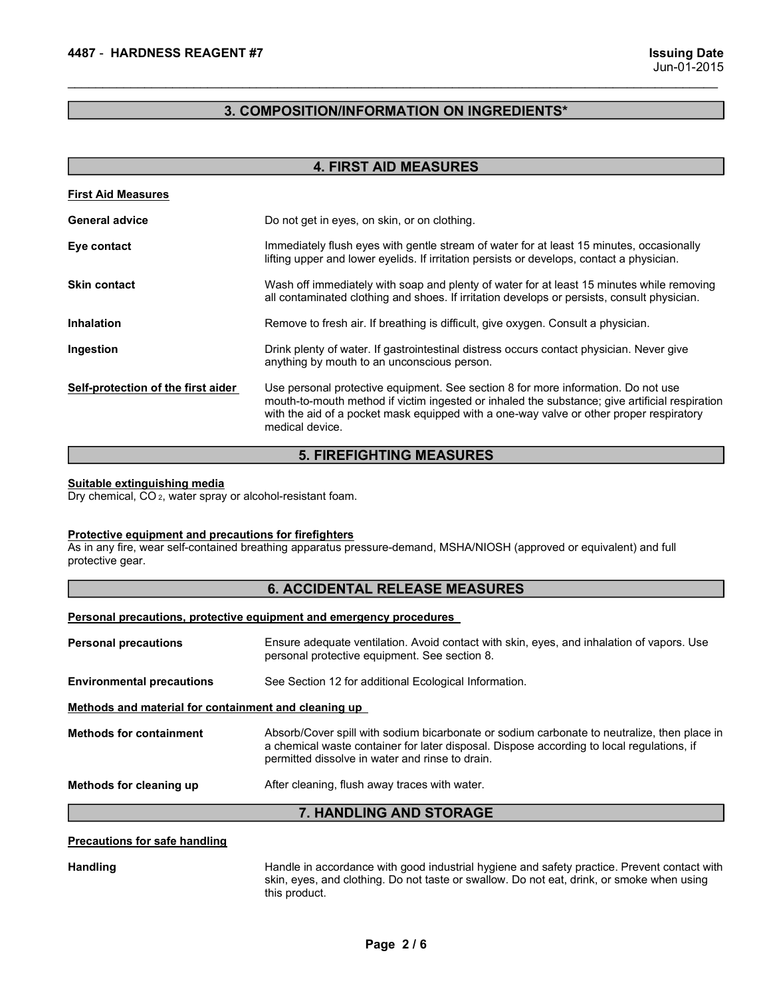# 4487 - HARDNESS REAGENT #7<br>Jun-01-2015<br>3. COMPOSITION/INFORMATION ON INGREDIENTS\* 3. COMPOSITION/INFORMATION ON INGREDIENTS\*

| 4487 - HARDNESS REAGENT #7                                                                             | <b>Issuing Date</b><br>Jun-01-2015                                                                                                                                                                                                                                                                |
|--------------------------------------------------------------------------------------------------------|---------------------------------------------------------------------------------------------------------------------------------------------------------------------------------------------------------------------------------------------------------------------------------------------------|
|                                                                                                        | 3. COMPOSITION/INFORMATION ON INGREDIENTS*                                                                                                                                                                                                                                                        |
|                                                                                                        | <b>4. FIRST AID MEASURES</b>                                                                                                                                                                                                                                                                      |
| <b>First Aid Measures</b>                                                                              |                                                                                                                                                                                                                                                                                                   |
| <b>General advice</b>                                                                                  | Do not get in eyes, on skin, or on clothing.                                                                                                                                                                                                                                                      |
| Eye contact                                                                                            | Immediately flush eyes with gentle stream of water for at least 15 minutes, occasionally<br>lifting upper and lower eyelids. If irritation persists or develops, contact a physician.                                                                                                             |
| <b>Skin contact</b>                                                                                    | Wash off immediately with soap and plenty of water for at least 15 minutes while removing<br>all contaminated clothing and shoes. If irritation develops or persists, consult physician.                                                                                                          |
| <b>Inhalation</b>                                                                                      | Remove to fresh air. If breathing is difficult, give oxygen. Consult a physician.                                                                                                                                                                                                                 |
| Ingestion                                                                                              | Drink plenty of water. If gastrointestinal distress occurs contact physician. Never give<br>anything by mouth to an unconscious person.                                                                                                                                                           |
| Self-protection of the first aider                                                                     | Use personal protective equipment. See section 8 for more information. Do not use<br>mouth-to-mouth method if victim ingested or inhaled the substance; give artificial respiration<br>with the aid of a pocket mask equipped with a one-way valve or other proper respiratory<br>medical device. |
|                                                                                                        | <b>5. FIREFIGHTING MEASURES</b>                                                                                                                                                                                                                                                                   |
| Suitable extinguishing media<br>Dry chemical, CO <sub>2</sub> , water spray or alcohol-resistant foam. |                                                                                                                                                                                                                                                                                                   |
| Protective equipment and precautions for firefighters<br>protective gear.                              | As in any fire, wear self-contained breathing apparatus pressure-demand, MSHA/NIOSH (approved or equivalent) and full                                                                                                                                                                             |
|                                                                                                        | <b>6. ACCIDENTAL RELEASE MEASURES</b>                                                                                                                                                                                                                                                             |
|                                                                                                        | Personal precautions, protective equipment and emergency procedures                                                                                                                                                                                                                               |
| <b>Personal precautions</b>                                                                            | Ensure adequate ventilation. Avoid contact with skin, eyes, and inhalation of vapors. Use<br>personal protective equipment. See section 8.                                                                                                                                                        |
| <b>Environmental precautions</b>                                                                       | See Section 12 for additional Ecological Information.                                                                                                                                                                                                                                             |
| Methods and material for containment and cleaning up                                                   |                                                                                                                                                                                                                                                                                                   |
| <b>Methods for containment</b>                                                                         | Absorb/Cover spill with sodium bicarbonate or sodium carbonate to neutralize, then place in                                                                                                                                                                                                       |

# 5. FIREFIGHTING MEASURES

| <b>6. ACCIDENTAL RELEASE MEASURES</b> |  |
|---------------------------------------|--|
|---------------------------------------|--|

| mgasuon                                                                                                | Drinik pichty of watch. If yasu'olificsunal districts occurs contact privisioan. Never yive<br>anything by mouth to an unconscious person.                                                                                                                                                        |
|--------------------------------------------------------------------------------------------------------|---------------------------------------------------------------------------------------------------------------------------------------------------------------------------------------------------------------------------------------------------------------------------------------------------|
| Self-protection of the first aider                                                                     | Use personal protective equipment. See section 8 for more information. Do not use<br>mouth-to-mouth method if victim ingested or inhaled the substance; give artificial respiration<br>with the aid of a pocket mask equipped with a one-way valve or other proper respiratory<br>medical device. |
|                                                                                                        | <b>5. FIREFIGHTING MEASURES</b>                                                                                                                                                                                                                                                                   |
| Suitable extinguishing media<br>Dry chemical, CO <sub>2</sub> , water spray or alcohol-resistant foam. |                                                                                                                                                                                                                                                                                                   |
| <b>Protective equipment and precautions for firefighters</b><br>protective gear.                       | As in any fire, wear self-contained breathing apparatus pressure-demand, MSHA/NIOSH (approved or equivalent) and full                                                                                                                                                                             |
|                                                                                                        | <b>6. ACCIDENTAL RELEASE MEASURES</b>                                                                                                                                                                                                                                                             |
|                                                                                                        | Personal precautions, protective equipment and emergency procedures                                                                                                                                                                                                                               |
| <b>Personal precautions</b>                                                                            | Ensure adequate ventilation. Avoid contact with skin, eyes, and inhalation of vapors. Use<br>personal protective equipment. See section 8.                                                                                                                                                        |
| <b>Environmental precautions</b>                                                                       | See Section 12 for additional Ecological Information.                                                                                                                                                                                                                                             |
| Methods and material for containment and cleaning up                                                   |                                                                                                                                                                                                                                                                                                   |
| <b>Methods for containment</b>                                                                         | Absorb/Cover spill with sodium bicarbonate or sodium carbonate to neutralize, then place in<br>a chemical waste container for later disposal. Dispose according to local regulations, if<br>permitted dissolve in water and rinse to drain.                                                       |
| Methods for cleaning up                                                                                | After cleaning, flush away traces with water.                                                                                                                                                                                                                                                     |
|                                                                                                        | 7. HANDLING AND STORAGE                                                                                                                                                                                                                                                                           |
| Precautions for safe handling                                                                          |                                                                                                                                                                                                                                                                                                   |
| <b>Handling</b>                                                                                        | Handle in accordance with good industrial hygiene and safety practice. Prevent contact with<br>skin, eyes, and clothing. Do not taste or swallow. Do not eat, drink, or smoke when using<br>this product.                                                                                         |
|                                                                                                        | Page 2/6                                                                                                                                                                                                                                                                                          |
|                                                                                                        |                                                                                                                                                                                                                                                                                                   |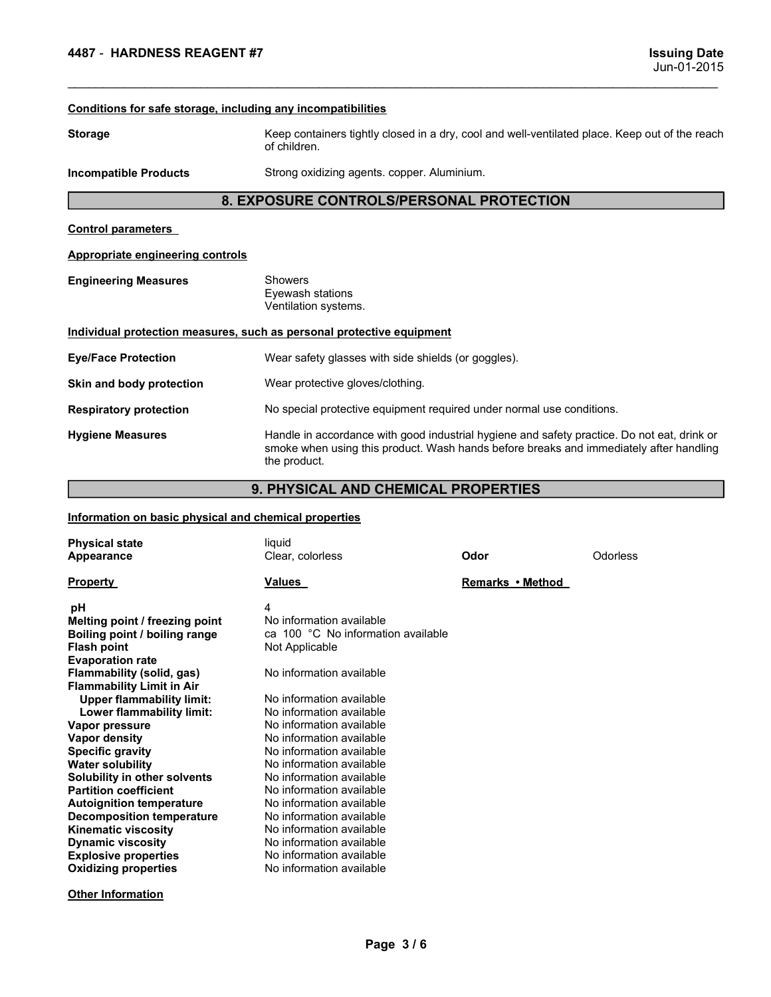# 1997 - HARDNESS REAGENT #7<br>
1997 - HARDNESS REAGENT #7<br>
2015 - Conditions for safe storage, including any incompatibilities<br>
2015 - Keep containers tiphtly closed in a dry, cool and well-yentilated place. Keep out of the r 4487 - HARDNESS REAGENT #7<br>
Uun-01-20<br>
Conditions for safe storage, including any incompatibilities<br>
Storage<br>
Storage<br>
Conditions for safe storage<br>
of children.<br>
Incompatible Products<br>
Strong oxidizing agents. copper. Alum Storage Keep containers tightly closed in a dry, cool and well-ventilated place. Keep out of the reach of children.<br>
Storage Keep containers tightly closed in a dry, cool and well-ventilated place. Keep out of the reach of Issuing<br>g any incompatibilities<br>Keep containers tightly closed in a dry, cool and well-ventilated place. Keep out of the<br>of children.<br>Strong oxidizing agents. copper. Aluminium.<br>OSURE CONTROLS/PERSONAL PROTECTION ISSUING DATENT WERE CONTROLS AND REACH AND THE CONTROLS AND THE CONTROLS AND CONDUCTED STRANGER STRANGER CONTROLS AND CONTROLS AND CONTROLS AND CONTROLS AND CONTROLS AND CONTROLS ARE CONTROLS AND CONTROLS ARE CONTROLS ARE 8. EXPOSURE CONTROLS/PERSONAL PROTECTION **4487 - HARDNESS REAGENT #7<br>
Conditions for safe storage. including any incompatibilities<br>
Storage**<br> **Explosition**<br> **Explosition Strong oxidizing agents. copper. Aluminium.**<br> **Explosition Strong oxidizing agents. copper. A** 4487 - HARDNESS REAGENT #7<br>
Conditions for safe storage, including any incompatibilities<br>
Storage<br>
Storage Keep containers tightly closed in a dry, cool and well-ventilated place.<br>
Incompatible Products Strong oxidizing ag **ENGINE AND AND ASSAUT AND ASSAUTE CONSIDER A SERVE ASSAUTE AND ASSAUTE CONTINUES Storage**<br>
Storage<br>
Storage Keep containers tightly closed in a dry, cool and well-ven<br>
incompatible Products Strong oxidizing agents. copper **g any incompatibilities**<br> **Example 10**<br> **Example 11**<br> **Example 11**<br> **Example 11**<br> **Example 12**<br> **Example 12**<br> **Example 12**<br> **Example 12**<br> **Example 12**<br> **Example 12**<br> **Example 12**<br> **Example 12**<br> **Example 12**<br> **Example 12**<br> **Samy incompatibilities**<br> **Samy incompatibilities**<br> **Example 1-2015**<br> **Example 2015**<br> **Example 2016**<br>
Strong oxidizing agents. copper. Aluminium.<br> **OSURE CONTROLS/PERSONAL PROTECTION<br>
Showers<br>
Eyewash stations<br>
Eyewash sta INDIVIDUAL PROTECTION**<br>
ISSUMPRIGES REAGENT #7<br> **Conditions for safe storage, including any incompatibilities**<br>
Storage<br> **Exprosimizes** (Keep containers tightly closed in a dry, cool and well-ventilated place. Keep out of **Example 16 ARONESS REAGENT #7**<br> **Example 16 ADMENT AND ADMENT AND ADMENT AND ADMENT AND ADMENT AND ADMENT AND ADMENT AND ADMENT AND ADMENT AND ADMENT AND ADMENT AND ADMENT AND ADMENT AND ADMENT AND ADMENT AND ADMENT AND A** Skin and both and the measures and both the protection and the protection of the measure of children.<br>
Skin and body protection weak of children.<br>
Incompatible Products Strong oxidizing agents. copper. Aluminium.<br> **B. EXPO** Conditions for safe storage. including any incompatibilities<br>
Storage<br>
Storage<br>
Incompatible Products<br>
Incompatible Products<br>
Strong oxidizing agents. copper. Aluminium.<br>
8. EXPOSURE CONTROLS/PERSONAL PROTECTION<br>
Control p Conditions for safe storage, including any incompatibilities<br>
Storage<br>
Incompatible Products<br>
Incompatible Products<br>
Storage oxidizing agents. copper. Aluminium.<br>
8. **EXPOSURE CONTROLS/PERSONAL PROTECTION**<br>
Control paramet Keep containers tightly closed in a dry, cool and well-ventilated place. Keep out of the reach<br>of children.<br>Strong oxidizing agents. copper. Aluminium.<br>Mexima stations<br>Wentilation systems.<br>Wentilation systems.<br>Wear protect Keep containers tightly closed in a dry, cool and well-ventilated place. Keep out of the<br>of children.<br>Strong oxidizing agents. copper. Aluminium.<br>Corresponding a state of the production of the strong oxidizing agents. copp 8. EXPOSURE CONTROLS/PERSONAL PROTECTION<br>
Scribted and Control and Control and Control and Control and Control and Control and Control and Control and Control and Control and Control and Control and Control and Control and Control parameters<br>
Appropriate engineering controls<br>
Engineering Measures<br>
Engineering Measures<br>
Showers<br>
Huraldon systems.<br>
Individual protection<br>
Wear safety glasses with side shields (or goggles).<br>
Skin and body protec Control parameters<br>
Engineering Measures<br>
Engineering Measures<br>
Engineering Measures<br>
Engineering Measures<br>
Engineering Measures<br>
Engineering Measures<br>
Skin and body protection<br>
Wear protective equipment equinometric equip Eyer and the transmission of the method.<br>
Melting point of the method of the method of the series of the method of the series of the series of the series of the series of the series of the series of the series of the serie

\_\_\_\_\_\_\_\_\_\_\_\_\_\_\_\_\_\_\_\_\_\_\_\_\_\_\_\_\_\_\_\_\_\_\_\_\_\_\_\_\_\_\_\_\_\_\_\_\_\_\_\_\_\_\_\_\_\_\_\_\_\_\_\_\_\_\_\_\_\_\_\_\_\_\_\_\_\_\_\_\_\_\_\_\_\_\_\_\_\_\_\_\_

# 9. PHYSICAL AND CHEMICAL PROPERTIES

|                                                                                                                                                                                                                                                                                                                                                                                                                                                                                                                                                                                                                  | Ventilation systems.                                                                                                                                                                                                                                                                                                                                                                                                                                                                                                      |                  |          |  |
|------------------------------------------------------------------------------------------------------------------------------------------------------------------------------------------------------------------------------------------------------------------------------------------------------------------------------------------------------------------------------------------------------------------------------------------------------------------------------------------------------------------------------------------------------------------------------------------------------------------|---------------------------------------------------------------------------------------------------------------------------------------------------------------------------------------------------------------------------------------------------------------------------------------------------------------------------------------------------------------------------------------------------------------------------------------------------------------------------------------------------------------------------|------------------|----------|--|
|                                                                                                                                                                                                                                                                                                                                                                                                                                                                                                                                                                                                                  | Individual protection measures, such as personal protective equipment                                                                                                                                                                                                                                                                                                                                                                                                                                                     |                  |          |  |
| <b>Eye/Face Protection</b>                                                                                                                                                                                                                                                                                                                                                                                                                                                                                                                                                                                       | Wear safety glasses with side shields (or goggles).                                                                                                                                                                                                                                                                                                                                                                                                                                                                       |                  |          |  |
| Skin and body protection                                                                                                                                                                                                                                                                                                                                                                                                                                                                                                                                                                                         | Wear protective gloves/clothing.                                                                                                                                                                                                                                                                                                                                                                                                                                                                                          |                  |          |  |
| <b>Respiratory protection</b>                                                                                                                                                                                                                                                                                                                                                                                                                                                                                                                                                                                    | No special protective equipment required under normal use conditions.                                                                                                                                                                                                                                                                                                                                                                                                                                                     |                  |          |  |
| <b>Hygiene Measures</b>                                                                                                                                                                                                                                                                                                                                                                                                                                                                                                                                                                                          | Handle in accordance with good industrial hygiene and safety practice. Do not eat, drink or<br>smoke when using this product. Wash hands before breaks and immediately after handling<br>the product.                                                                                                                                                                                                                                                                                                                     |                  |          |  |
|                                                                                                                                                                                                                                                                                                                                                                                                                                                                                                                                                                                                                  | 9. PHYSICAL AND CHEMICAL PROPERTIES                                                                                                                                                                                                                                                                                                                                                                                                                                                                                       |                  |          |  |
| Information on basic physical and chemical properties                                                                                                                                                                                                                                                                                                                                                                                                                                                                                                                                                            |                                                                                                                                                                                                                                                                                                                                                                                                                                                                                                                           |                  |          |  |
| <b>Physical state</b>                                                                                                                                                                                                                                                                                                                                                                                                                                                                                                                                                                                            | liquid                                                                                                                                                                                                                                                                                                                                                                                                                                                                                                                    |                  |          |  |
| Appearance                                                                                                                                                                                                                                                                                                                                                                                                                                                                                                                                                                                                       | Clear, colorless                                                                                                                                                                                                                                                                                                                                                                                                                                                                                                          | Odor             | Odorless |  |
| <b>Property</b>                                                                                                                                                                                                                                                                                                                                                                                                                                                                                                                                                                                                  | <b>Values</b>                                                                                                                                                                                                                                                                                                                                                                                                                                                                                                             | Remarks • Method |          |  |
| рH<br>Melting point / freezing point<br>Boiling point / boiling range<br><b>Flash point</b><br><b>Evaporation rate</b><br>Flammability (solid, gas)<br><b>Flammability Limit in Air</b><br><b>Upper flammability limit:</b><br>Lower flammability limit:<br>Vapor pressure<br>Vapor density<br><b>Specific gravity</b><br><b>Water solubility</b><br>Solubility in other solvents<br><b>Partition coefficient</b><br><b>Autoignition temperature</b><br><b>Decomposition temperature</b><br><b>Kinematic viscosity</b><br><b>Dynamic viscosity</b><br><b>Explosive properties</b><br><b>Oxidizing properties</b> | 4<br>No information available<br>ca 100 °C No information available<br>Not Applicable<br>No information available<br>No information available<br>No information available<br>No information available<br>No information available<br>No information available<br>No information available<br>No information available<br>No information available<br>No information available<br>No information available<br>No information available<br>No information available<br>No information available<br>No information available |                  |          |  |
| <b>Other Information</b>                                                                                                                                                                                                                                                                                                                                                                                                                                                                                                                                                                                         | Page 3/6                                                                                                                                                                                                                                                                                                                                                                                                                                                                                                                  |                  |          |  |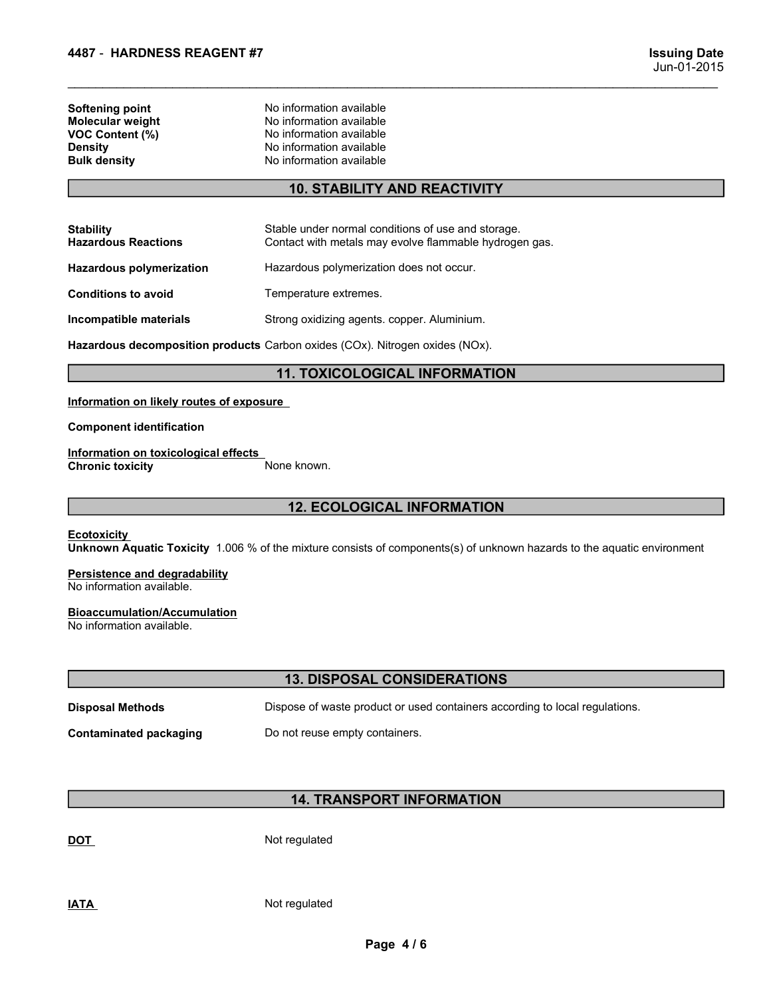| 4487 - HARDNESS REAGENT #7          |                                                      |                                    |
|-------------------------------------|------------------------------------------------------|------------------------------------|
|                                     |                                                      | <b>Issuing Date</b><br>Jun-01-2015 |
| Softening point<br>Molecular weight | No information available<br>No information available |                                    |
| VOC Content (%)<br>Density          | No information available<br>No information available |                                    |
| <b>Bulk density</b>                 | No information available                             |                                    |
|                                     | <b>10. STABILITY AND REACTIVITY</b>                  |                                    |
| <b>Stability</b>                    | Stable under normal conditions of use and storage.   |                                    |

# 10. STABILITY AND REACTIVITY

| 4487 - HARDNESS REAGENT #7                                                                                    |                                                                                                                                          | <b>Issuing Date</b> |
|---------------------------------------------------------------------------------------------------------------|------------------------------------------------------------------------------------------------------------------------------------------|---------------------|
|                                                                                                               |                                                                                                                                          | Jun-01-2015         |
| <b>Softening point</b><br>Molecular weight<br><b>VOC Content (%)</b><br><b>Density</b><br><b>Bulk density</b> | No information available<br>No information available<br>No information available<br>No information available<br>No information available |                     |
|                                                                                                               | <b>10. STABILITY AND REACTIVITY</b>                                                                                                      |                     |
| <b>Stability</b><br><b>Hazardous Reactions</b>                                                                | Stable under normal conditions of use and storage.<br>Contact with metals may evolve flammable hydrogen gas.                             |                     |
| <b>Hazardous polymerization</b>                                                                               | Hazardous polymerization does not occur.                                                                                                 |                     |
| <b>Conditions to avoid</b>                                                                                    | Temperature extremes.                                                                                                                    |                     |
| Incompatible materials                                                                                        | Strong oxidizing agents. copper. Aluminium.                                                                                              |                     |
|                                                                                                               | Hazardous decomposition products Carbon oxides (COx). Nitrogen oxides (NOx).                                                             |                     |
|                                                                                                               | <b>11. TOXICOLOGICAL INFORMATION</b>                                                                                                     |                     |
| Information on likely routes of exposure                                                                      |                                                                                                                                          |                     |
| <b>Component identification</b>                                                                               |                                                                                                                                          |                     |
| Information on toxicological effects<br><b>Chronic toxicity</b>                                               | None known.                                                                                                                              |                     |
|                                                                                                               | <b>12. ECOLOGICAL INFORMATION</b>                                                                                                        |                     |
| <b>Ecotoxicity</b>                                                                                            | Unknown Aquatic Toxicity 1.006 % of the mixture consists of components(s) of unknown hazards to the aquatic environment                  |                     |
| <b>Persistence and degradability</b><br>No information available.                                             |                                                                                                                                          |                     |
| <b>Bioaccumulation/Accumulation</b><br>No information available.                                              |                                                                                                                                          |                     |
|                                                                                                               | <b>13. DISPOSAL CONSIDERATIONS</b>                                                                                                       |                     |
| Dianocal Mathode                                                                                              | Dianoso of worte product or used containers according to local requisition                                                               |                     |

# 11. TOXICOLOGICAL INFORMATION

# 12. ECOLOGICAL INFORMATION

# **Bioaccumulation/Accumulation**<br>No information available.

| Information on likely routes of exposure<br><b>Component identification</b><br>Information on toxicological effects<br><b>Chronic toxicity</b><br>None known.<br><b>12. ECOLOGICAL INFORMATION</b><br><b>Ecotoxicity</b><br>Unknown Aquatic Toxicity 1.006 % of the mixture consists of components(s) of unknown hazards to the aquatic environment<br><b>Persistence and degradability</b><br>No information available.<br><b>Bioaccumulation/Accumulation</b><br>No information available.<br><b>13. DISPOSAL CONSIDERATIONS</b><br><b>Disposal Methods</b><br>Dispose of waste product or used containers according to local regulations.<br>Do not reuse empty containers.<br><b>Contaminated packaging</b> |
|-----------------------------------------------------------------------------------------------------------------------------------------------------------------------------------------------------------------------------------------------------------------------------------------------------------------------------------------------------------------------------------------------------------------------------------------------------------------------------------------------------------------------------------------------------------------------------------------------------------------------------------------------------------------------------------------------------------------|
|                                                                                                                                                                                                                                                                                                                                                                                                                                                                                                                                                                                                                                                                                                                 |
|                                                                                                                                                                                                                                                                                                                                                                                                                                                                                                                                                                                                                                                                                                                 |
|                                                                                                                                                                                                                                                                                                                                                                                                                                                                                                                                                                                                                                                                                                                 |
|                                                                                                                                                                                                                                                                                                                                                                                                                                                                                                                                                                                                                                                                                                                 |
|                                                                                                                                                                                                                                                                                                                                                                                                                                                                                                                                                                                                                                                                                                                 |
|                                                                                                                                                                                                                                                                                                                                                                                                                                                                                                                                                                                                                                                                                                                 |
|                                                                                                                                                                                                                                                                                                                                                                                                                                                                                                                                                                                                                                                                                                                 |
|                                                                                                                                                                                                                                                                                                                                                                                                                                                                                                                                                                                                                                                                                                                 |
|                                                                                                                                                                                                                                                                                                                                                                                                                                                                                                                                                                                                                                                                                                                 |
|                                                                                                                                                                                                                                                                                                                                                                                                                                                                                                                                                                                                                                                                                                                 |
|                                                                                                                                                                                                                                                                                                                                                                                                                                                                                                                                                                                                                                                                                                                 |
| <b>14. TRANSPORT INFORMATION</b>                                                                                                                                                                                                                                                                                                                                                                                                                                                                                                                                                                                                                                                                                |
| Not regulated<br><b>DOT</b>                                                                                                                                                                                                                                                                                                                                                                                                                                                                                                                                                                                                                                                                                     |
| Not regulated<br><b>IATA</b>                                                                                                                                                                                                                                                                                                                                                                                                                                                                                                                                                                                                                                                                                    |
| Page 4/6                                                                                                                                                                                                                                                                                                                                                                                                                                                                                                                                                                                                                                                                                                        |
|                                                                                                                                                                                                                                                                                                                                                                                                                                                                                                                                                                                                                                                                                                                 |

# 14. TRANSPORT INFORMATION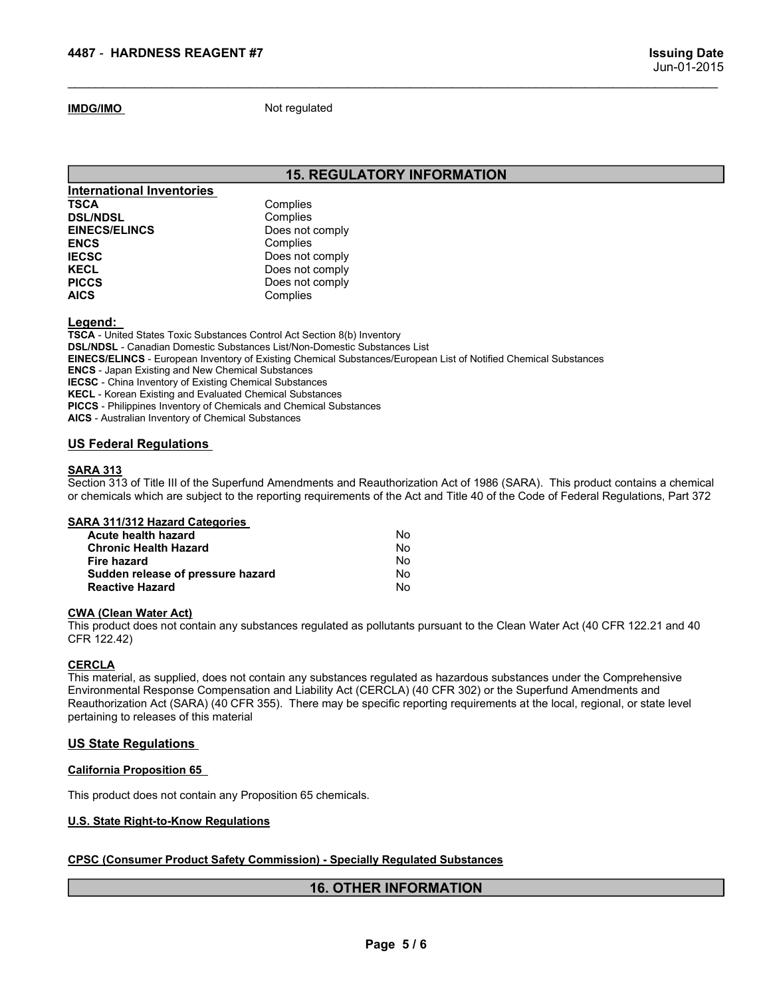# 15. REGULATORY INFORMATION

\_\_\_\_\_\_\_\_\_\_\_\_\_\_\_\_\_\_\_\_\_\_\_\_\_\_\_\_\_\_\_\_\_\_\_\_\_\_\_\_\_\_\_\_\_\_\_\_\_\_\_\_\_\_\_\_\_\_\_\_\_\_\_\_\_\_\_\_\_\_\_\_\_\_\_\_\_\_\_\_\_\_\_\_\_\_\_\_\_\_\_\_\_

| 4487 - HARDNESS REAGENT #7       |                                                                                                                  | <b>Issuing Date</b> |
|----------------------------------|------------------------------------------------------------------------------------------------------------------|---------------------|
|                                  |                                                                                                                  | Jun-01-2015         |
| <b>IMDG/IMO</b>                  | Not regulated                                                                                                    |                     |
|                                  |                                                                                                                  |                     |
|                                  | <b>15. REGULATORY INFORMATION</b>                                                                                |                     |
| <b>International Inventories</b> |                                                                                                                  |                     |
| <b>TSCA</b>                      | Complies                                                                                                         |                     |
| <b>DSL/NDSL</b>                  | Complies                                                                                                         |                     |
| <b>EINECS/ELINCS</b>             | Does not comply                                                                                                  |                     |
| <b>ENCS</b>                      | Complies                                                                                                         |                     |
| <b>IECSC</b>                     | Does not comply                                                                                                  |                     |
| <b>KECL</b>                      | Does not comply                                                                                                  |                     |
| <b>PICCS</b>                     | Does not comply                                                                                                  |                     |
| <b>AICS</b>                      | Complies                                                                                                         |                     |
| Legend:                          |                                                                                                                  |                     |
|                                  | TSCA - United States Toxic Substances Control Act Section 8(b) Inventory                                         |                     |
|                                  | <b>DSL/NDSL</b> - Canadian Domestic Substances List/Non-Domestic Substances List                                 |                     |
|                                  | EINECS/ELINCS - European Inventory of Existing Chemical Substances/European List of Notified Chemical Substances |                     |

# Legend:

TSCA - United States Toxic Substances Control Act Section 8(b) Inventory DSL/NDSL - Canadian Domestic Substances List/Non-Domestic Substances List EINECS/ELINCS - European Inventory of Existing Chemical Substances/European List of Notified Chemical Substances ENCS - Japan Existing and New Chemical Substances IECSC - China Inventory of Existing Chemical Substances KECL - Korean Existing and Evaluated Chemical Substances PICCS - Philippines Inventory of Chemicals and Chemical Substances AICS - Australian Inventory of Chemical Substances 15. REGULATORY INFORMATION<br>
INternational Inventories<br>
TSCA<br>
ENECS/ELINCS<br>
ENECS/ELINCS<br>
ENECS/ELINCS<br>
ENECS<br>
ENECS<br>
ENECS<br>
ENECS<br>
ENECS<br>
IECS<br>
USCA USP DORS INTO DRIGHT TO DRIGHT THEORY<br>
IECS<br>
IECS<br>
USCA UNITELY DRIGHT TO **SECTION META SECTION META SECTION META SECTION SECTION SECTION COMPUTE:**<br>
SECTION COMPUTE SECTION COMPUTE:<br>
ENECT COMPUTE COMPUTE:<br>
ENECT COMPUTE:<br>
INCIDENT CONSIDER THE CONTAINS CONSIDER CONTAINS CONSIDER THE CONTAINS CO **or chemical international Inventories.**<br> **SOLANDSL**<br> **Complies**<br> **ENCS Des not comply<br>
<b>ENCS**<br> **ENCS**<br> **ENCS**<br> **ENCS**<br> **CONS**<br> **CONS**<br> **CONS**<br> **CONS**<br> **CONS**<br> **CONS**<br> **CONS**<br> **CONS**<br> **CONS**<br> **CONS**<br> **CONS**<br> **CONS**<br> **CONS** TREATIONSL<br>
STOCA Complies<br>
STOCA Complies<br>
EINECS/ELINCS Complies<br>
EINECSIELINCS Complies<br>
EINECS<br>
EINECS<br>
EINECS<br>
IECG<br>
IECG<br>
IECG<br>
IECG<br>
IECG<br>
IECG<br>
IECG<br>
IECG<br>
IECG<br>
INCCS<br>
INCCS<br>
INCCS<br>
INCCS<br>
SOCA United States Toxic **And Start Constrainer Complete**<br> **And Start Constrainers**<br> **Acceler Start Constrainers**<br> **Acceler Start Constrainers**<br> **Acceler Start Constrainers**<br> **And Start Constrainers**<br> **And Start Constrainers**<br> **And Start Constrain** Chronic Health Hazard<br>
Science Chronic Chronic Chronic Chronic Chronic Chronic Chronic Chronic Chronic Chronic Chronic Chronic Chronic Chronic Chronic Chronic Chronic Chronic Chronic Chronic Chronic Chronic Chronic Chronic SC<br>
SC Does not comply<br>
SC Does not comply<br>
SC Does not comply<br>
SC Does not complex<br>
SC Does not complex<br>
A - United States Toxic Substances Control Act Section 8(b) Inventory<br>
A - United States Toxic Substances control Ac FIGCs<br>
In Complies<br>
ISON Complies<br>
ISON Complies<br>
ISON Complies<br>
EMCS - Jeropean Inventory of Existing and New Chemical Substances List<br>
ENCS - Japan Existing and New Chemical Substances<br>
ENCS - Japan Existing and New Chem Nice and the Container Containers containers and Sales and Sales and Nice and Nice and Nice and Sales and Sales and Sales and Sales any substances ENCS - Lappen Entity and Sales and Chemical Substances European List of Not This material, as supplied, does not contain any substances regulated as hazardous substances and the Comprehensive method. Here is the Comprehensive of Entire MECO - Reception and the Comprehensive of Comprehensive of Com ENGIN: The harm of New Orleansation and New Compensation and CHA (EGSC - China Inventory of Existing Chemical Substances<br>
KEGSC - China Inventory of Existing Chemical Substances<br>
KECSC - Kensin Existing And Computer Substa

SARA 313<br>Section 313 of Title III of the Superfund Amendments and Reauthorization Act of 1986 (SARA). This product contains a chemical

| Acute health hazard               | No. |  |
|-----------------------------------|-----|--|
| <b>Chronic Health Hazard</b>      | No. |  |
| Fire hazard                       | No. |  |
| Sudden release of pressure hazard | No  |  |
| <b>Reactive Hazard</b>            | No  |  |

CFR 122.42)

# **CERCLA**

IECO-C China Internaly of Estate Christian Colembat Substances<br>
IECO-C Christian Eventual Substances<br>
PICOS - Philippines Investory of Chemical Substances<br> **ACCS** - Philippines Investory of Chemical Substances<br> **SERA 31512 KECI-** Korean Existing and Evaluatied Chemical Substances<br> **PECIS** - Porcean Existing and Evaluations<br> **PECIS - Philippines Inventory of Chemicals Substances**<br> **AISS** - Australian Inventory of Chemical Substances<br> **SERA 3 AICS** - Australian Inventory of Chemical Substances<br> **US Federal Regulations**<br> **US Federal Regulations**<br> **SARA 313**<br>
Section 313 of Title III of the Superfund Amendments and Reauthorization Act of 1986 (SARA<br>
or chemicals US Federal Regulations<br>
SARA 313<br>
SARA 313<br>
Section 313 of Title III of the Superfund Amendments and Reauthorization Act of 1986 (SARA). This product<br>
or chemicals which are subject to the reporting requirements of the Ac SARA 313<br>
Section 313 of Title III of the Superfund Amendments and Reauthorization Act of 1966 (SARA). This product contains a chemical<br>
or chemicals which are subject to the reporting requirements of the Act and Title 40 or chemicals which are subject to the reporting requirements of the Act and Title 40 of the Code of Federal Re<br>
SARA 311/312 Hazard Categories.<br>
Chronic Health Hazard<br>
Suddon relasse of pressure hazard<br>
Suddon relasse of p Active health hazard<br>
Chronic Health Hazard<br>
Chronic Health Hazard<br>
Reactive Hazard<br>
No<br>
CRIA (Clean Water Act)<br>
No<br>
CRIA (Clean Water Act)<br>
This product does not contain any substances regulated as holidaths pursuant to t pollutants pursuant to the Clean Water Act (40 CFR 122.21 and 40<br>
Fregulated as hazardous substances under the Comprehensive<br>
ERCLA) (40 CFR 302) or the Superfund Amendments and<br>
specific reporting requirements at the loca

# 16. OTHER INFORMATION